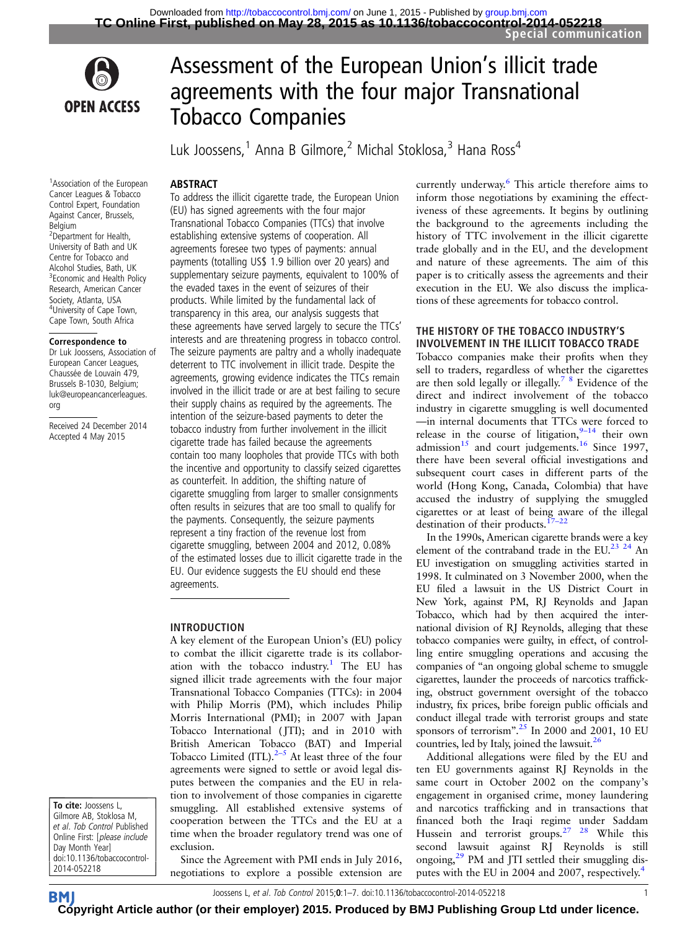

# Assessment of the European Union's illicit trade agreements with the four major Transnational Tobacco Companies

Luk Joossens,<sup>1</sup> Anna B Gilmore,<sup>2</sup> Michal Stoklosa,<sup>3</sup> Hana Ross<sup>4</sup>

#### **ABSTRACT**

1 Association of the European Cancer Leagues & Tobacco Control Expert, Foundation Against Cancer, Brussels, Belgium 2 Department for Health, University of Bath and UK Centre for Tobacco and Alcohol Studies, Bath, UK <sup>3</sup> Economic and Health Policy Research, American Cancer Society, Atlanta, USA 4 University of Cape Town, Cape Town, South Africa

#### Correspondence to

Dr Luk Joossens, Association of European Cancer Leagues, Chaussée de Louvain 479, Brussels B-1030, Belgium; luk@europeancancerleagues. org

Received 24 December 2014 Accepted 4 May 2015

To address the illicit cigarette trade, the European Union (EU) has signed agreements with the four major Transnational Tobacco Companies (TTCs) that involve establishing extensive systems of cooperation. All agreements foresee two types of payments: annual payments (totalling US\$ 1.9 billion over 20 years) and supplementary seizure payments, equivalent to 100% of the evaded taxes in the event of seizures of their products. While limited by the fundamental lack of transparency in this area, our analysis suggests that these agreements have served largely to secure the TTCs' interests and are threatening progress in tobacco control. The seizure payments are paltry and a wholly inadequate deterrent to TTC involvement in illicit trade. Despite the agreements, growing evidence indicates the TTCs remain involved in the illicit trade or are at best failing to secure their supply chains as required by the agreements. The intention of the seizure-based payments to deter the tobacco industry from further involvement in the illicit cigarette trade has failed because the agreements contain too many loopholes that provide TTCs with both the incentive and opportunity to classify seized cigarettes as counterfeit. In addition, the shifting nature of cigarette smuggling from larger to smaller consignments often results in seizures that are too small to qualify for the payments. Consequently, the seizure payments represent a tiny fraction of the revenue lost from cigarette smuggling, between 2004 and 2012, 0.08% of the estimated losses due to illicit cigarette trade in the EU. Our evidence suggests the EU should end these agreements.

#### INTRODUCTION

A key element of the European Union's (EU) policy to combat the illicit cigarette trade is its collaboration with the tobacco industry.<sup>1</sup> The EU has signed illicit trade agreements with the four major Transnational Tobacco Companies (TTCs): in 2004 with Philip Morris (PM), which includes Philip Morris International (PMI); in 2007 with Japan Tobacco International (JTI); and in 2010 with British American Tobacco (BAT) and Imperial Tobacco Limited (ITL). $2-5$  At least three of the four agreements were signed to settle or avoid legal disputes between the companies and the EU in relation to involvement of those companies in cigarette smuggling. All established extensive systems of cooperation between the TTCs and the EU at a time when the broader regulatory trend was one of exclusion.

Since the Agreement with PMI ends in July 2016, negotiations to explore a possible extension are

currently underway.[6](#page-4-0) This article therefore aims to inform those negotiations by examining the effectiveness of these agreements. It begins by outlining the background to the agreements including the history of TTC involvement in the illicit cigarette trade globally and in the EU, and the development and nature of these agreements. The aim of this paper is to critically assess the agreements and their execution in the EU. We also discuss the implications of these agreements for tobacco control.

#### THE HISTORY OF THE TOBACCO INDUSTRY'S INVOLVEMENT IN THE ILLICIT TOBACCO TRADE

Tobacco companies make their profits when they sell to traders, regardless of whether the cigarettes are then sold legally or illegally.[7 8](#page-4-0) Evidence of the direct and indirect involvement of the tobacco industry in cigarette smuggling is well documented —in internal documents that TTCs were forced to release in the course of litigation, $9-14$  $9-14$  their own admission<sup>15</sup> and court judgements.<sup>[16](#page-4-0)</sup> Since 1997, there have been several official investigations and subsequent court cases in different parts of the world (Hong Kong, Canada, Colombia) that have accused the industry of supplying the smuggled cigarettes or at least of being aware of the illegal destination of their products.<sup>17–[22](#page-4-0)</sup>

In the 1990s, American cigarette brands were a key element of the contraband trade in the EU.<sup>23 24</sup> An EU investigation on smuggling activities started in 1998. It culminated on 3 November 2000, when the EU filed a lawsuit in the US District Court in New York, against PM, RJ Reynolds and Japan Tobacco, which had by then acquired the international division of RJ Reynolds, alleging that these tobacco companies were guilty, in effect, of controlling entire smuggling operations and accusing the companies of "an ongoing global scheme to smuggle cigarettes, launder the proceeds of narcotics trafficking, obstruct government oversight of the tobacco industry, fix prices, bribe foreign public officials and conduct illegal trade with terrorist groups and state sponsors of terrorism".<sup>[25](#page-5-0)</sup> In 2000 and 2001, 10 EU countries, led by Italy, joined the lawsuit.<sup>26</sup>

Additional allegations were filed by the EU and ten EU governments against RJ Reynolds in the same court in October 2002 on the company's engagement in organised crime, money laundering and narcotics trafficking and in transactions that financed both the Iraqi regime under Saddam Hussein and terrorist groups.<sup>27</sup> <sup>28</sup> While this second lawsuit against RJ Reynolds is still ongoing,<sup>[29](#page-5-0)</sup> PM and JTI settled their smuggling dis-putes with the EU in 200[4](#page-4-0) and 2007, respectively.<sup>4</sup>

To cite: Joossens L, Gilmore AB, Stoklosa M, et al. Tob Control Published Online First: [please include Day Month Year] doi:10.1136/tobaccocontrol-2014-052218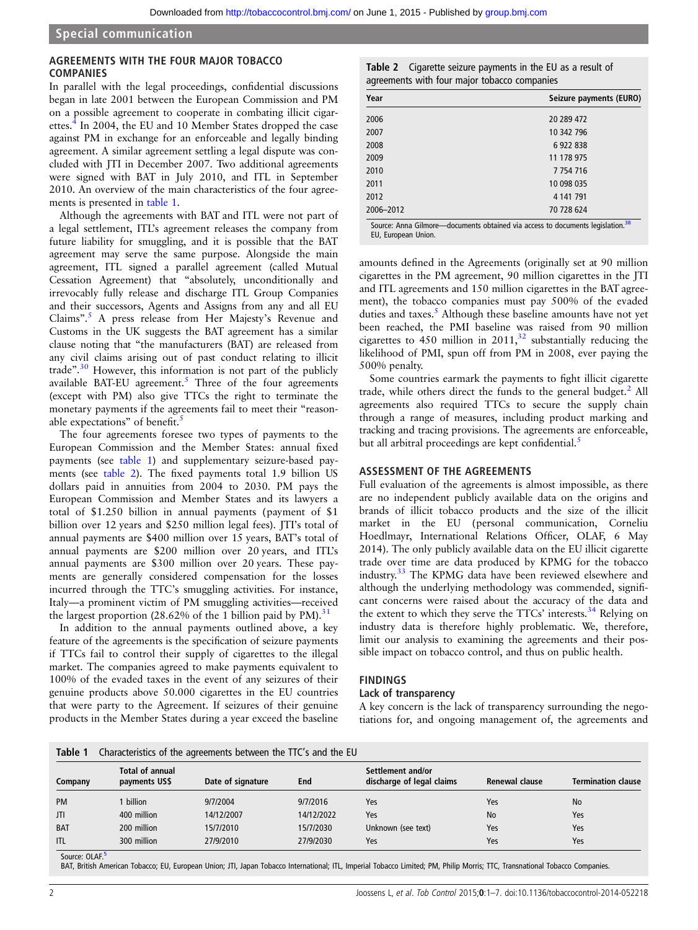#### <span id="page-1-0"></span>AGREEMENTS WITH THE FOUR MAJOR TOBACCO **COMPANIES**

In parallel with the legal proceedings, confidential discussions began in late 2001 between the European Commission and PM on a possible agreement to cooperate in combating illicit cigarettes.[4](#page-4-0) In 2004, the EU and 10 Member States dropped the case against PM in exchange for an enforceable and legally binding agreement. A similar agreement settling a legal dispute was concluded with JTI in December 2007. Two additional agreements were signed with BAT in July 2010, and ITL in September 2010. An overview of the main characteristics of the four agreements is presented in table 1.

Although the agreements with BAT and ITL were not part of a legal settlement, ITL's agreement releases the company from future liability for smuggling, and it is possible that the BAT agreement may serve the same purpose. Alongside the main agreement, ITL signed a parallel agreement (called Mutual Cessation Agreement) that "absolutely, unconditionally and irrevocably fully release and discharge ITL Group Companies and their successors, Agents and Assigns from any and all EU Claims". [5](#page-4-0) A press release from Her Majesty's Revenue and Customs in the UK suggests the BAT agreement has a similar clause noting that "the manufacturers (BAT) are released from any civil claims arising out of past conduct relating to illicit trade".<sup>[30](#page-5-0)</sup> However, this information is not part of the publicly available BAT-EU agreement.<sup>[5](#page-4-0)</sup> Three of the four agreements (except with PM) also give TTCs the right to terminate the monetary payments if the agreements fail to meet their "reason-able expectations" of benefit.<sup>[5](#page-4-0)</sup>

The four agreements foresee two types of payments to the European Commission and the Member States: annual fixed payments (see table 1) and supplementary seizure-based payments (see table 2). The fixed payments total 1.9 billion US dollars paid in annuities from 2004 to 2030. PM pays the European Commission and Member States and its lawyers a total of \$1.250 billion in annual payments (payment of \$1 billion over 12 years and \$250 million legal fees). JTI's total of annual payments are \$400 million over 15 years, BAT's total of annual payments are \$200 million over 20 years, and ITL's annual payments are \$300 million over 20 years. These payments are generally considered compensation for the losses incurred through the TTC's smuggling activities. For instance, Italy—a prominent victim of PM smuggling activities—received the largest proportion  $(28.62\% \text{ of the 1 billion paid by PM}).$ <sup>[31](#page-5-0)</sup>

In addition to the annual payments outlined above, a key feature of the agreements is the specification of seizure payments if TTCs fail to control their supply of cigarettes to the illegal market. The companies agreed to make payments equivalent to 100% of the evaded taxes in the event of any seizures of their genuine products above 50.000 cigarettes in the EU countries that were party to the Agreement. If seizures of their genuine products in the Member States during a year exceed the baseline

| <b>Table 2</b> Cigarette seizure payments in the EU as a result of |
|--------------------------------------------------------------------|
| agreements with four major tobacco companies                       |

| Year                                                                                                              | Seizure payments (EURO) |  |  |
|-------------------------------------------------------------------------------------------------------------------|-------------------------|--|--|
| 2006                                                                                                              | 20 289 472              |  |  |
| 2007                                                                                                              | 10 342 796              |  |  |
| 2008                                                                                                              | 6922838                 |  |  |
| 2009                                                                                                              | 11 178 975              |  |  |
| 2010                                                                                                              | 7 7 5 4 7 1 6           |  |  |
| 2011                                                                                                              | 10 098 035              |  |  |
| 2012                                                                                                              | 4 141 791               |  |  |
| 2006-2012                                                                                                         | 70 728 624              |  |  |
| Source: Anna Gilmore-documents obtained via access to documents legislation. <sup>38</sup><br>EU, European Union. |                         |  |  |

amounts defined in the Agreements (originally set at 90 million cigarettes in the PM agreement, 90 million cigarettes in the JTI and ITL agreements and 150 million cigarettes in the BAT agreement), the tobacco companies must pay 500% of the evaded duties and taxes. $5$  Although these baseline amounts have not yet been reached, the PMI baseline was raised from 90 million cigarettes to  $\overline{450}$  million in 2011,<sup>[32](#page-5-0)</sup> substantially reducing the likelihood of PMI, spun off from PM in 2008, ever paying the 500% penalty.

Some countries earmark the payments to fight illicit cigarette trade, while others direct the funds to the general budget. $^2$  $^2$  All agreements also required TTCs to secure the supply chain through a range of measures, including product marking and tracking and tracing provisions. The agreements are enforceable, but all arbitral proceedings are kept confidential.<sup>[5](#page-4-0)</sup>

#### ASSESSMENT OF THE AGREEMENTS

Full evaluation of the agreements is almost impossible, as there are no independent publicly available data on the origins and brands of illicit tobacco products and the size of the illicit market in the EU (personal communication, Corneliu Hoedlmayr, International Relations Officer, OLAF, 6 May 2014). The only publicly available data on the EU illicit cigarette trade over time are data produced by KPMG for the tobacco industry.[33](#page-5-0) The KPMG data have been reviewed elsewhere and although the underlying methodology was commended, significant concerns were raised about the accuracy of the data and the extent to which they serve the TTCs' interests.<sup>[34](#page-5-0)</sup> Relying on industry data is therefore highly problematic. We, therefore, limit our analysis to examining the agreements and their possible impact on tobacco control, and thus on public health.

#### FINDINGS

#### Lack of transparency

A key concern is the lack of transparency surrounding the negotiations for, and ongoing management of, the agreements and

| Table 1<br>Characteristics of the agreements between the TTC's and the EU        |                                         |                   |            |                                                |                |                           |
|----------------------------------------------------------------------------------|-----------------------------------------|-------------------|------------|------------------------------------------------|----------------|---------------------------|
| Company                                                                          | <b>Total of annual</b><br>payments US\$ | Date of signature | <b>End</b> | Settlement and/or<br>discharge of legal claims | Renewal clause | <b>Termination clause</b> |
| <b>PM</b>                                                                        | billion                                 | 9/7/2004          | 9/7/2016   | Yes                                            | Yes            | <b>No</b>                 |
| <b>JTI</b>                                                                       | 400 million                             | 14/12/2007        | 14/12/2022 | Yes                                            | <b>No</b>      | Yes                       |
| <b>BAT</b>                                                                       | 200 million                             | 15/7/2010         | 15/7/2030  | Unknown (see text)                             | Yes            | Yes                       |
| ITL                                                                              | 300 million                             | 27/9/2010         | 27/9/2030  | Yes                                            | Yes            | Yes                       |
| $C_{\text{a}1}$ $\mu$ <sub>22</sub> $\Omega$ <sub>14</sub> $\Gamma$ <sup>5</sup> |                                         |                   |            |                                                |                |                           |

Source: OLAF.<sup>[5](#page-4-0)</sup>

BAT, British American Tobacco; EU, European Union; JTI, Japan Tobacco International; ITL, Imperial Tobacco Limited; PM, Philip Morris; TTC, Transnational Tobacco Companies.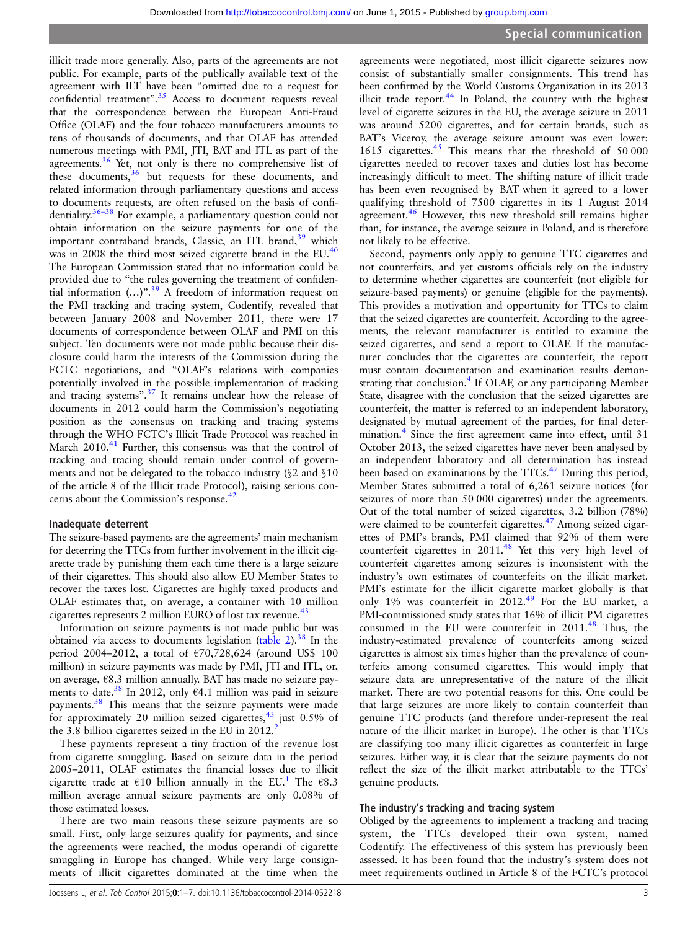illicit trade more generally. Also, parts of the agreements are not public. For example, parts of the publically available text of the agreement with ILT have been "omitted due to a request for confidential treatment".<sup>[35](#page-5-0)</sup> Access to document requests reveal that the correspondence between the European Anti-Fraud Office (OLAF) and the four tobacco manufacturers amounts to tens of thousands of documents, and that OLAF has attended numerous meetings with PMI, JTI, BAT and ITL as part of the agreements. $36$  Yet, not only is there no comprehensive list of these documents,  $36$  but requests for these documents, and related information through parliamentary questions and access to documents requests, are often refused on the basis of confidentiality.[36](#page-5-0)–<sup>38</sup> For example, a parliamentary question could not obtain information on the seizure payments for one of the important contraband brands, Classic, an ITL brand,<sup>[39](#page-5-0)</sup> which was in 2008 the third most seized cigarette brand in the EU.<sup>40</sup> The European Commission stated that no information could be provided due to "the rules governing the treatment of confidential information  $(...)^{n}$ .<sup>[39](#page-5-0)</sup> A freedom of information request on the PMI tracking and tracing system, Codentify, revealed that between January 2008 and November 2011, there were 17 documents of correspondence between OLAF and PMI on this subject. Ten documents were not made public because their disclosure could harm the interests of the Commission during the FCTC negotiations, and "OLAF's relations with companies potentially involved in the possible implementation of tracking and tracing systems".<sup>[37](#page-5-0)</sup> It remains unclear how the release of documents in 2012 could harm the Commission's negotiating position as the consensus on tracking and tracing systems through the WHO FCTC's Illicit Trade Protocol was reached in March 2010.<sup>41</sup> Further, this consensus was that the control of tracking and tracing should remain under control of governments and not be delegated to the tobacco industry (§2 and §10 of the article 8 of the Illicit trade Protocol), raising serious con-cerns about the Commission's response.<sup>[42](#page-5-0)</sup>

#### Inadequate deterrent

The seizure-based payments are the agreements' main mechanism for deterring the TTCs from further involvement in the illicit cigarette trade by punishing them each time there is a large seizure of their cigarettes. This should also allow EU Member States to recover the taxes lost. Cigarettes are highly taxed products and OLAF estimates that, on average, a container with 10 million cigarettes represents 2 million EURO of lost tax revenue.[43](#page-5-0)

Information on seizure payments is not made public but was obtained via access to documents legislation  $(table 2)$  $(table 2)$ .<sup>[38](#page-5-0)</sup> In the period 2004–2012, a total of €70,728,624 (around US\$ 100 million) in seizure payments was made by PMI, JTI and ITL, or, on average, €8.3 million annually. BAT has made no seizure payments to date.<sup>38</sup> In 2012, only  $64.1$  million was paid in seizure payments[.38](#page-5-0) This means that the seizure payments were made for approximately 20 million seized cigarettes, $43$  just 0.5% of the 3.8 billion cigarettes seized in the EU in 2012.

These payments represent a tiny fraction of the revenue lost from cigarette smuggling. Based on seizure data in the period 2005–2011, OLAF estimates the financial losses due to illicit cigarette trade at  $\epsilon$ 10 billion annually in the EU.<sup>1</sup> The  $\epsilon$ 8.3 million average annual seizure payments are only 0.08% of those estimated losses.

There are two main reasons these seizure payments are so small. First, only large seizures qualify for payments, and since the agreements were reached, the modus operandi of cigarette smuggling in Europe has changed. While very large consignments of illicit cigarettes dominated at the time when the

agreements were negotiated, most illicit cigarette seizures now consist of substantially smaller consignments. This trend has been confirmed by the World Customs Organization in its 2013 illicit trade report. $44$  In Poland, the country with the highest level of cigarette seizures in the EU, the average seizure in 2011 was around 5200 cigarettes, and for certain brands, such as BAT's Viceroy, the average seizure amount was even lower: 1615 cigarettes.<sup>[45](#page-5-0)</sup> This means that the threshold of 50 000 cigarettes needed to recover taxes and duties lost has become increasingly difficult to meet. The shifting nature of illicit trade has been even recognised by BAT when it agreed to a lower qualifying threshold of 7500 cigarettes in its 1 August 2014 agreement.<sup>46</sup> However, this new threshold still remains higher than, for instance, the average seizure in Poland, and is therefore not likely to be effective.

Second, payments only apply to genuine TTC cigarettes and not counterfeits, and yet customs officials rely on the industry to determine whether cigarettes are counterfeit (not eligible for seizure-based payments) or genuine (eligible for the payments). This provides a motivation and opportunity for TTCs to claim that the seized cigarettes are counterfeit. According to the agreements, the relevant manufacturer is entitled to examine the seized cigarettes, and send a report to OLAF. If the manufacturer concludes that the cigarettes are counterfeit, the report must contain documentation and examination results demonstrating that conclusion.<sup>4</sup> If OLAF, or any participating Member State, disagree with the conclusion that the seized cigarettes are counterfeit, the matter is referred to an independent laboratory, designated by mutual agreement of the parties, for final determination.<sup>4</sup> Since the first agreement came into effect, until 31 October 2013, the seized cigarettes have never been analysed by an independent laboratory and all determination has instead been based on examinations by the TTCs.<sup>[47](#page-5-0)</sup> During this period, Member States submitted a total of 6,261 seizure notices (for seizures of more than 50 000 cigarettes) under the agreements. Out of the total number of seized cigarettes, 3.2 billion (78%) were claimed to be counterfeit cigarettes.<sup>[47](#page-5-0)</sup> Among seized cigarettes of PMI's brands, PMI claimed that 92% of them were counterfeit cigarettes in 2011.<sup>[48](#page-5-0)</sup> Yet this very high level of counterfeit cigarettes among seizures is inconsistent with the industry's own estimates of counterfeits on the illicit market. PMI's estimate for the illicit cigarette market globally is that only 1% was counterfeit in 2012.[49](#page-5-0) For the EU market, a PMI-commissioned study states that 16% of illicit PM cigarettes consumed in the EU were counterfeit in  $2011.^{48}$  $2011.^{48}$  $2011.^{48}$  Thus, the industry-estimated prevalence of counterfeits among seized cigarettes is almost six times higher than the prevalence of counterfeits among consumed cigarettes. This would imply that seizure data are unrepresentative of the nature of the illicit market. There are two potential reasons for this. One could be that large seizures are more likely to contain counterfeit than genuine TTC products (and therefore under-represent the real nature of the illicit market in Europe). The other is that TTCs are classifying too many illicit cigarettes as counterfeit in large seizures. Either way, it is clear that the seizure payments do not reflect the size of the illicit market attributable to the TTCs' genuine products.

#### The industry's tracking and tracing system

Obliged by the agreements to implement a tracking and tracing system, the TTCs developed their own system, named Codentify. The effectiveness of this system has previously been assessed. It has been found that the industry's system does not meet requirements outlined in Article 8 of the FCTC's protocol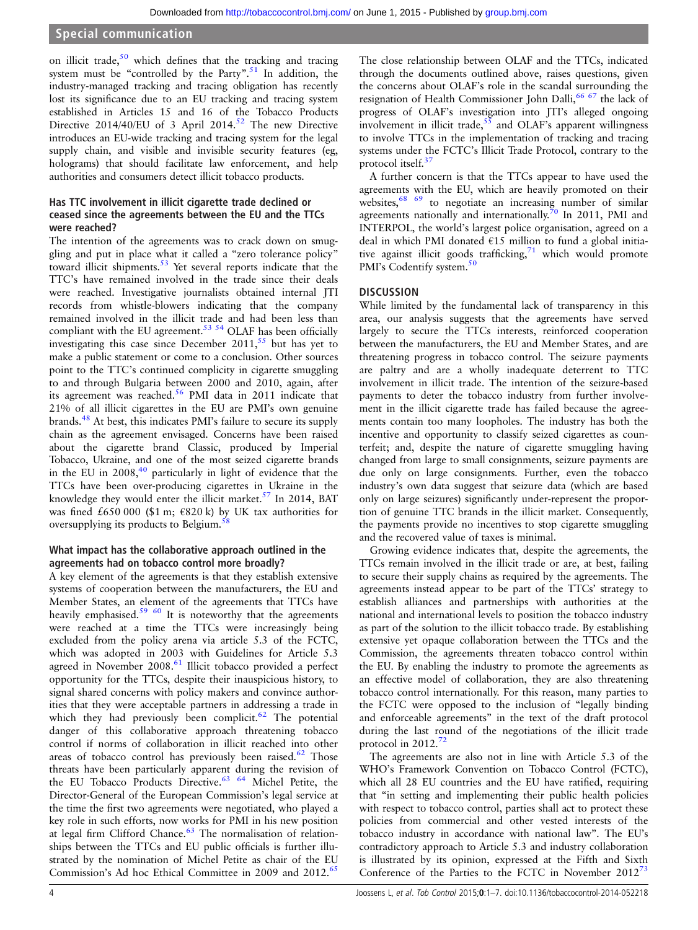#### Special communication

on illicit trade, $50$  which defines that the tracking and tracing system must be "controlled by the Party".<sup>[51](#page-5-0)</sup> In addition, the industry-managed tracking and tracing obligation has recently lost its significance due to an EU tracking and tracing system established in Articles 15 and 16 of the Tobacco Products Directive  $2014/40$ /EU of 3 April  $2014$ .<sup>52</sup> The new Directive introduces an EU-wide tracking and tracing system for the legal supply chain, and visible and invisible security features (eg, holograms) that should facilitate law enforcement, and help authorities and consumers detect illicit tobacco products.

#### Has TTC involvement in illicit cigarette trade declined or ceased since the agreements between the EU and the TTCs were reached?

The intention of the agreements was to crack down on smuggling and put in place what it called a "zero tolerance policy" toward illicit shipments.<sup>[53](#page-5-0)</sup> Yet several reports indicate that the TTC's have remained involved in the trade since their deals were reached. Investigative journalists obtained internal JTI records from whistle-blowers indicating that the company remained involved in the illicit trade and had been less than compliant with the EU agreement.<sup>[53 54](#page-5-0)</sup> OLAF has been officially investigating this case since December  $2011<sub>55</sub>$  $2011<sub>55</sub>$  $2011<sub>55</sub>$  but has yet to make a public statement or come to a conclusion. Other sources point to the TTC's continued complicity in cigarette smuggling to and through Bulgaria between 2000 and 2010, again, after its agreement was reached.<sup>56</sup> PMI data in 2011 indicate that 21% of all illicit cigarettes in the EU are PMI's own genuine brands.[48](#page-5-0) At best, this indicates PMI's failure to secure its supply chain as the agreement envisaged. Concerns have been raised about the cigarette brand Classic, produced by Imperial Tobacco, Ukraine, and one of the most seized cigarette brands in the EU in  $2008<sub>10</sub><sup>40</sup>$  particularly in light of evidence that the TTCs have been over-producing cigarettes in Ukraine in the knowledge they would enter the illicit market. $57$  In 2014, BAT was fined £650 000 (\$1 m;  $\epsilon$ 820 k) by UK tax authorities for oversupplying its products to Belgium.<sup>58</sup>

#### What impact has the collaborative approach outlined in the agreements had on tobacco control more broadly?

A key element of the agreements is that they establish extensive systems of cooperation between the manufacturers, the EU and Member States, an element of the agreements that TTCs have heavily emphasised.<sup>[59 60](#page-5-0)</sup> It is noteworthy that the agreements were reached at a time the TTCs were increasingly being excluded from the policy arena via article 5.3 of the FCTC, which was adopted in 2003 with Guidelines for Article 5.3 agreed in November 2008.<sup>61</sup> Illicit tobacco provided a perfect opportunity for the TTCs, despite their inauspicious history, to signal shared concerns with policy makers and convince authorities that they were acceptable partners in addressing a trade in which they had previously been complicit. $62$  The potential danger of this collaborative approach threatening tobacco control if norms of collaboration in illicit reached into other areas of tobacco control has previously been raised. $62$  Those threats have been particularly apparent during the revision of the EU Tobacco Products Directive.<sup>[63 64](#page-5-0)</sup> Michel Petite, the Director-General of the European Commission's legal service at the time the first two agreements were negotiated, who played a key role in such efforts, now works for PMI in his new position at legal firm Clifford Chance.<sup>[63](#page-5-0)</sup> The normalisation of relationships between the TTCs and EU public officials is further illustrated by the nomination of Michel Petite as chair of the EU Commission's Ad hoc Ethical Committee in 2009 and 2012.<sup>65</sup>

The close relationship between OLAF and the TTCs, indicated through the documents outlined above, raises questions, given the concerns about OLAF's role in the scandal surrounding the resignation of Health Commissioner John Dalli,<sup>[66](#page-5-0) [67](#page-6-0)</sup> the lack of progress of OLAF's investigation into JTI's alleged ongoing involvement in illicit trade,  $5\overline{5}$  and OLAF's apparent willingness to involve TTCs in the implementation of tracking and tracing systems under the FCTC's Illicit Trade Protocol, contrary to the protocol itself.<sup>[37](#page-5-0)</sup>

A further concern is that the TTCs appear to have used the agreements with the EU, which are heavily promoted on their websites, <sup>68</sup> to negotiate an increasing number of similar agreements nationally and internationally.  $\frac{70}{70}$  $\frac{70}{70}$  $\frac{70}{70}$  In 2011, PMI and INTERPOL, the world's largest police organisation, agreed on a deal in which PMI donated  $E15$  million to fund a global initiative against illicit goods trafficking, $\frac{71}{1}$  $\frac{71}{1}$  $\frac{71}{1}$  which would promote PMI's Codentify system.<sup>[50](#page-5-0)</sup>

#### **DISCUSSION**

While limited by the fundamental lack of transparency in this area, our analysis suggests that the agreements have served largely to secure the TTCs interests, reinforced cooperation between the manufacturers, the EU and Member States, and are threatening progress in tobacco control. The seizure payments are paltry and are a wholly inadequate deterrent to TTC involvement in illicit trade. The intention of the seizure-based payments to deter the tobacco industry from further involvement in the illicit cigarette trade has failed because the agreements contain too many loopholes. The industry has both the incentive and opportunity to classify seized cigarettes as counterfeit; and, despite the nature of cigarette smuggling having changed from large to small consignments, seizure payments are due only on large consignments. Further, even the tobacco industry's own data suggest that seizure data (which are based only on large seizures) significantly under-represent the proportion of genuine TTC brands in the illicit market. Consequently, the payments provide no incentives to stop cigarette smuggling and the recovered value of taxes is minimal.

Growing evidence indicates that, despite the agreements, the TTCs remain involved in the illicit trade or are, at best, failing to secure their supply chains as required by the agreements. The agreements instead appear to be part of the TTCs' strategy to establish alliances and partnerships with authorities at the national and international levels to position the tobacco industry as part of the solution to the illicit tobacco trade. By establishing extensive yet opaque collaboration between the TTCs and the Commission, the agreements threaten tobacco control within the EU. By enabling the industry to promote the agreements as an effective model of collaboration, they are also threatening tobacco control internationally. For this reason, many parties to the FCTC were opposed to the inclusion of "legally binding and enforceable agreements" in the text of the draft protocol during the last round of the negotiations of the illicit trade protocol in  $2012.<sup>72</sup>$ 

The agreements are also not in line with Article 5.3 of the WHO's Framework Convention on Tobacco Control (FCTC), which all 28 EU countries and the EU have ratified, requiring that "in setting and implementing their public health policies with respect to tobacco control, parties shall act to protect these policies from commercial and other vested interests of the tobacco industry in accordance with national law". The EU's contradictory approach to Article 5.3 and industry collaboration is illustrated by its opinion, expressed at the Fifth and Sixth Conference of the Parties to the FCTC in November 2012<sup>[73](#page-6-0)</sup>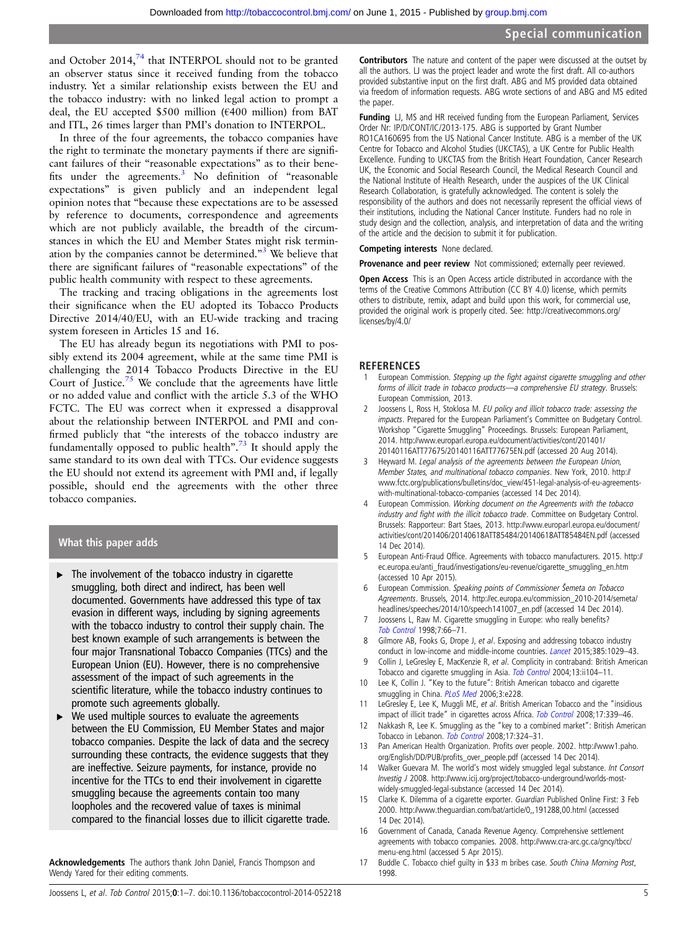<span id="page-4-0"></span>and October  $2014<sup>74</sup>$  $2014<sup>74</sup>$  $2014<sup>74</sup>$  that INTERPOL should not to be granted an observer status since it received funding from the tobacco industry. Yet a similar relationship exists between the EU and the tobacco industry: with no linked legal action to prompt a deal, the EU accepted \$500 million (€400 million) from BAT and ITL, 26 times larger than PMI's donation to INTERPOL.

In three of the four agreements, the tobacco companies have the right to terminate the monetary payments if there are significant failures of their "reasonable expectations" as to their benefits under the agreements. $3$  No definition of "reasonable" expectations" is given publicly and an independent legal opinion notes that "because these expectations are to be assessed by reference to documents, correspondence and agreements which are not publicly available, the breadth of the circumstances in which the EU and Member States might risk termination by the companies cannot be determined."<sup>3</sup> We believe that there are significant failures of "reasonable expectations" of the public health community with respect to these agreements.

The tracking and tracing obligations in the agreements lost their significance when the EU adopted its Tobacco Products Directive 2014/40/EU, with an EU-wide tracking and tracing system foreseen in Articles 15 and 16.

The EU has already begun its negotiations with PMI to possibly extend its 2004 agreement, while at the same time PMI is challenging the 2014 Tobacco Products Directive in the EU Court of Justice.<sup>[75](#page-6-0)</sup> We conclude that the agreements have little or no added value and conflict with the article 5.3 of the WHO FCTC. The EU was correct when it expressed a disapproval about the relationship between INTERPOL and PMI and confirmed publicly that "the interests of the tobacco industry are fundamentally opposed to public health".<sup>[73](#page-6-0)</sup> It should apply the same standard to its own deal with TTCs. Our evidence suggests the EU should not extend its agreement with PMI and, if legally possible, should end the agreements with the other three tobacco companies.

#### What this paper adds

- $\blacktriangleright$  The involvement of the tobacco industry in cigarette smuggling, both direct and indirect, has been well documented. Governments have addressed this type of tax evasion in different ways, including by signing agreements with the tobacco industry to control their supply chain. The best known example of such arrangements is between the four major Transnational Tobacco Companies (TTCs) and the European Union (EU). However, there is no comprehensive assessment of the impact of such agreements in the scientific literature, while the tobacco industry continues to promote such agreements globally.
- We used multiple sources to evaluate the agreements between the EU Commission, EU Member States and major tobacco companies. Despite the lack of data and the secrecy surrounding these contracts, the evidence suggests that they are ineffective. Seizure payments, for instance, provide no incentive for the TTCs to end their involvement in cigarette smuggling because the agreements contain too many loopholes and the recovered value of taxes is minimal compared to the financial losses due to illicit cigarette trade.

Acknowledgements The authors thank John Daniel, Francis Thompson and Wendy Yared for their editing comments.

Contributors The nature and content of the paper were discussed at the outset by all the authors. LJ was the project leader and wrote the first draft. All co-authors provided substantive input on the first draft. ABG and MS provided data obtained via freedom of information requests. ABG wrote sections of and ABG and MS edited the paper.

Funding LJ, MS and HR received funding from the European Parliament, Services Order Nr: IP/D/CONT/IC/2013-175. ABG is supported by Grant Number RO1CA160695 from the US National Cancer Institute. ABG is a member of the UK Centre for Tobacco and Alcohol Studies (UKCTAS), a UK Centre for Public Health Excellence. Funding to UKCTAS from the British Heart Foundation, Cancer Research UK, the Economic and Social Research Council, the Medical Research Council and the National Institute of Health Research, under the auspices of the UK Clinical Research Collaboration, is gratefully acknowledged. The content is solely the responsibility of the authors and does not necessarily represent the official views of their institutions, including the National Cancer Institute. Funders had no role in study design and the collection, analysis, and interpretation of data and the writing of the article and the decision to submit it for publication.

Competing interests None declared.

Provenance and peer review Not commissioned; externally peer reviewed.

Open Access This is an Open Access article distributed in accordance with the terms of the Creative Commons Attribution (CC BY 4.0) license, which permits others to distribute, remix, adapt and build upon this work, for commercial use, provided the original work is properly cited. See: [http://creativecommons.org/](http://creativecommons.org/licenses/by/4.0/) [licenses/by/4.0/](http://creativecommons.org/licenses/by/4.0/)

#### **REFERENCES**

- European Commission. Stepping up the fight against cigarette smuggling and other forms of illicit trade in tobacco products—a comprehensive EU strategy. Brussels: European Commission, 2013.
- Joossens L, Ross H, Stoklosa M. EU policy and illicit tobacco trade: assessing the impacts. Prepared for the European Parliament's Committee on Budgetary Control. Workshop "Cigarette Smuggling" Proceedings. Brussels: European Parliament, 2014. [http://www.europarl.europa.eu/document/activities/cont/201401/](http://www.europarl.europa.eu/document/activities/cont/201401/20140116ATT77675/20140116ATT77675EN.pdf) [20140116ATT77675/20140116ATT77675EN.pdf](http://www.europarl.europa.eu/document/activities/cont/201401/20140116ATT77675/20140116ATT77675EN.pdf) (accessed 20 Aug 2014).
- 3 Heyward M. Legal analysis of the agreements between the European Union, Member States, and multinational tobacco companies. New York, 2010. [http://](http://www.fctc.org/publications/bulletins/doc_view/451-legal-analysis-of-eu-agreements-with-multinational-tobacco-companies) [www.fctc.org/publications/bulletins/doc\\_view/451-legal-analysis-of-eu-agreements](http://www.fctc.org/publications/bulletins/doc_view/451-legal-analysis-of-eu-agreements-with-multinational-tobacco-companies)[with-multinational-tobacco-companies](http://www.fctc.org/publications/bulletins/doc_view/451-legal-analysis-of-eu-agreements-with-multinational-tobacco-companies) (accessed 14 Dec 2014).
- European Commission. Working document on the Agreements with the tobacco industry and fight with the illicit tobacco trade. Committee on Budgetary Control. Brussels: Rapporteur: Bart Staes, 2013. [http://www.europarl.europa.eu/document/](http://www.europarl.europa.eu/document/activities/cont/201406/20140618ATT85484/20140618ATT85484EN.pdf) [activities/cont/201406/20140618ATT85484/20140618ATT85484EN.pdf](http://www.europarl.europa.eu/document/activities/cont/201406/20140618ATT85484/20140618ATT85484EN.pdf) (accessed 14 Dec 2014).
- 5 European Anti-Fraud Office. Agreements with tobacco manufacturers. 2015. [http://](http://ec.europa.eu/anti_fraud/investigations/eu-revenue/cigarette_smuggling_en.htm) [ec.europa.eu/anti\\_fraud/investigations/eu-revenue/cigarette\\_smuggling\\_en.htm](http://ec.europa.eu/anti_fraud/investigations/eu-revenue/cigarette_smuggling_en.htm) (accessed 10 Apr 2015).
- 6 European Commission. Speaking points of Commissioner Šemeta on Tobacco Agreements. Brussels, 2014. [http://ec.europa.eu/commission\\_2010-2014/semeta/](http://ec.europa.eu/commission_2010-2014/semeta/headlines/speeches/2014/10/speech141007_en.pdf) [headlines/speeches/2014/10/speech141007\\_en.pdf](http://ec.europa.eu/commission_2010-2014/semeta/headlines/speeches/2014/10/speech141007_en.pdf) (accessed 14 Dec 2014).
- 7 Joossens L, Raw M. Cigarette smuggling in Europe: who really benefits? [Tob Control](http://dx.doi.org/10.1136/tc.7.1.66) 1998;7:66–71.
- Gilmore AB, Fooks G, Drope J, et al. Exposing and addressing tobacco industry conduct in low-income and middle-income countries. [Lancet](http://dx.doi.org/10.1016/S0140-6736(15)60312-9) 2015;385:1029–43.
- 9 Collin J, LeGresley E, MacKenzie R, et al. Complicity in contraband: British American Tobacco and cigarette smuggling in Asia. [Tob Control](http://dx.doi.org/10.1136/tc.2004.009357) 2004;13:ii104-11.
- 10 Lee K, Collin J. "Key to the future": British American tobacco and cigarette smuggling in China. [PLoS Med](http://dx.doi.org/10.1371/journal.pmed.0030228) 2006;3:e228.
- 11 LeGresley E, Lee K, Muggli ME, et al. British American Tobacco and the "insidious impact of illicit trade" in cigarettes across Africa. [Tob Control](http://dx.doi.org/10.1136/tc.2008.025999) 2008;17:339-46.
- 12 Nakkash R, Lee K. Smuggling as the "key to a combined market": British American Tobacco in Lebanon. [Tob Control](http://dx.doi.org/10.1136/tc.2008.025254) 2008;17:324–31.
- 13 Pan American Health Organization. Profits over people. 2002. [http://www1.paho.](http://www1.paho.org/English/DD/PUB/profits_over_people.pdf) [org/English/DD/PUB/pro](http://www1.paho.org/English/DD/PUB/profits_over_people.pdf)fits\_over\_people.pdf (accessed 14 Dec 2014).
- 14 Walker Guevara M. The world's most widely smuggled legal substance. Int Consort Investig J 2008. [http://www.icij.org/project/tobacco-underground/worlds-most](http://www.icij.org/project/tobacco-underground/worlds-most-widely-smuggled-legal-substance)[widely-smuggled-legal-substance](http://www.icij.org/project/tobacco-underground/worlds-most-widely-smuggled-legal-substance) (accessed 14 Dec 2014).
- Clarke K. Dilemma of a cigarette exporter. Guardian Published Online First: 3 Feb 2000.<http://www.theguardian.com/bat/article/0,,191288,00.html> (accessed 14 Dec 2014).
- 16 Government of Canada, Canada Revenue Agency. Comprehensive settlement agreements with tobacco companies. 2008. [http://www.cra-arc.gc.ca/gncy/tbcc/](http://www.cra-arc.gc.ca/gncy/tbcc/menu-eng.html) [menu-eng.html](http://www.cra-arc.gc.ca/gncy/tbcc/menu-eng.html) (accessed 5 Apr 2015).
- 17 Buddle C. Tobacco chief guilty in \$33 m bribes case. South China Morning Post, 1998.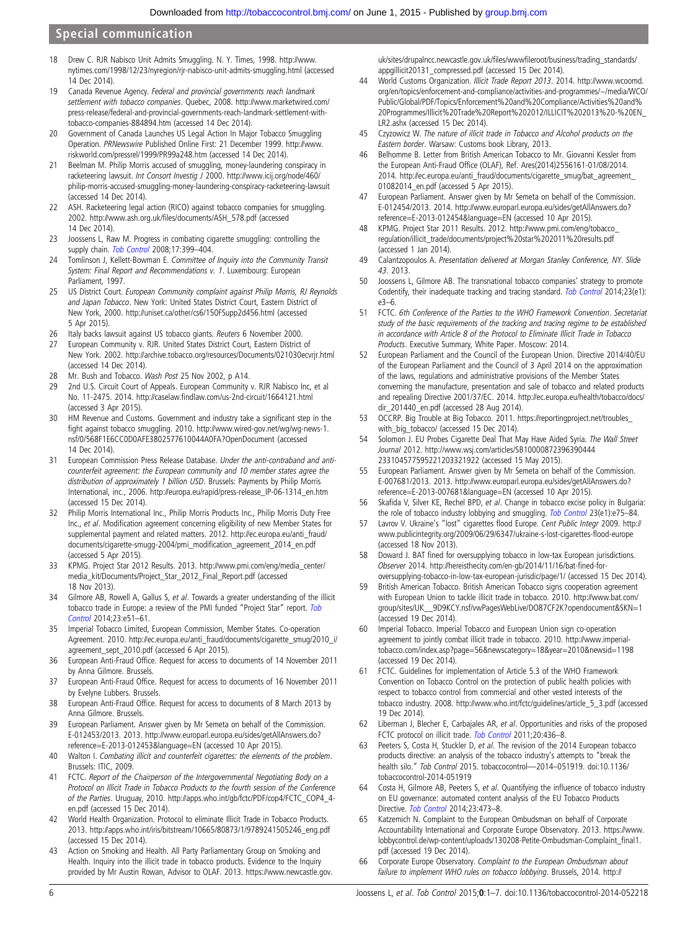#### <span id="page-5-0"></span>Special communication

- 18 Drew C. RJR Nabisco Unit Admits Smuggling. N. Y. Times, 1998. [http://www.](http://www.nytimes.com/1998/12/23/nyregion/rjr-nabisco-unit-admits-smuggling.html) [nytimes.com/1998/12/23/nyregion/rjr-nabisco-unit-admits-smuggling.html](http://www.nytimes.com/1998/12/23/nyregion/rjr-nabisco-unit-admits-smuggling.html) (accessed 14 Dec 2014).
- 19 Canada Revenue Agency. Federal and provincial governments reach landmark settlement with tobacco companies. Quebec, 2008. [http://www.marketwired.com/](http://www.marketwired.com/press-release/federal-and-provincial-governments-reach-landmark-settlement-with-tobacco-companies-884894.htm) [press-release/federal-and-provincial-governments-reach-landmark-settlement-with](http://www.marketwired.com/press-release/federal-and-provincial-governments-reach-landmark-settlement-with-tobacco-companies-884894.htm)[tobacco-companies-884894.htm](http://www.marketwired.com/press-release/federal-and-provincial-governments-reach-landmark-settlement-with-tobacco-companies-884894.htm) (accessed 14 Dec 2014).
- 20 Government of Canada Launches US Legal Action In Major Tobacco Smuggling Operation. PRNewswire Published Online First: 21 December 1999. [http://www.](http://www.riskworld.com/pressrel/1999/PR99a248.htm) [riskworld.com/pressrel/1999/PR99a248.htm](http://www.riskworld.com/pressrel/1999/PR99a248.htm) (accessed 14 Dec 2014).
- 21 Beelman M. Philip Morris accused of smuggling, money-laundering conspiracy in racketeering lawsuit. Int Consort Investig J 2000. [http://www.icij.org/node/460/](http://www.icij.org/node/460/philip-morris-accused-smuggling-money-laundering-conspiracy-racketeering-lawsuit) [philip-morris-accused-smuggling-money-laundering-conspiracy-racketeering-lawsuit](http://www.icij.org/node/460/philip-morris-accused-smuggling-money-laundering-conspiracy-racketeering-lawsuit) (accessed 14 Dec 2014).
- 22 ASH. Racketeering legal action (RICO) against tobacco companies for smuggling. 2002. [http:/](http://www.ash.org.uk/files/documents/ASH_578.pdf)/www.ash.org.uk/fi[les/documents/ASH\\_578.pdf](http://www.ash.org.uk/files/documents/ASH_578.pdf) (accessed 14 Dec 2014).
- 23 Joossens L, Raw M. Progress in combating cigarette smuggling: controlling the supply chain. [Tob Control](http://dx.doi.org/10.1136/tc.2008.026567) 2008;17:399-404.
- 24 Tomlinson J, Kellett-Bowman E. Committee of Inquiry into the Community Transit System: Final Report and Recommendations v. 1. Luxembourg: European Parliament, 1997.
- 25 US District Court. European Community complaint against Philip Morris, RJ Reynolds and Japan Tobacco. New York: United States District Court, Eastern District of New York, 2000.<http://uniset.ca/other/cs6/150FSupp2d456.html> (accessed 5 Apr 2015).
- 26 Italy backs lawsuit against US tobacco giants. Reuters 6 November 2000.
- 27 European Community v. RJR. United States District Court, Eastern District of New York. 2002.<http://archive.tobacco.org/resources/Documents/021030ecvrjr.html> (accessed 14 Dec 2014).
- 28 Mr. Bush and Tobacco. Wash Post 25 Nov 2002, p A14.
- 29 2nd U.S. Circuit Court of Appeals. European Community v. RJR Nabisco Inc, et al No. 11-2475. 2014. [http:/](http://caselaw.findlaw.com/us-2nd-circuit/1664121.html)/caselaw.fi[ndlaw.com/us-2nd-circuit/1664121.html](http://caselaw.findlaw.com/us-2nd-circuit/1664121.html) (accessed 3 Apr 2015).
- 30 HM Revenue and Customs. Government and industry take a significant step in the fight against tobacco smuggling. 2010. [http://www.wired-gov.net/wg/wg-news-1.](http://www.wired-gov.net/wg/wg-news-1.nsf/0/568F1E6CC0D0AFE3802577610044A0FA?OpenDocument) [nsf/0/568F1E6CC0D0AFE3802577610044A0FA?OpenDocument](http://www.wired-gov.net/wg/wg-news-1.nsf/0/568F1E6CC0D0AFE3802577610044A0FA?OpenDocument) (accessed 14 Dec 2014).
- 31 European Commission Press Release Database. Under the anti-contraband and anticounterfeit agreement: the European community and 10 member states agree the distribution of approximately 1 billion USD. Brussels: Payments by Philip Morris International, inc., 2006. [http://europa.eu/rapid/press-release\\_IP-06-1314\\_en.htm](http://europa.eu/rapid/press-release_IP-06-1314_en.htm) (accessed 15 Dec 2014).
- 32 Philip Morris International Inc., Philip Morris Products Inc., Philip Morris Duty Free Inc., et al. Modification agreement concerning eligibility of new Member States for supplemental payment and related matters. 2012. [http://ec.europa.eu/anti\\_fraud/](http://ec.europa.eu/anti_fraud/documents/cigarette-smugg-2004/pmi_modification_agreement_2014_en.pdf) [documents/cigarette-smugg-2004/pmi\\_modi](http://ec.europa.eu/anti_fraud/documents/cigarette-smugg-2004/pmi_modification_agreement_2014_en.pdf)fication\_agreement\_2014\_en.pdf (accessed 5 Apr 2015).
- 33 KPMG. Project Star 2012 Results. 2013. [http://www.pmi.com/eng/media\\_center/](http://www.pmi.com/eng/media_center/media_kit/Documents/Project_Star_2012_Final_Report.pdf) [media\\_kit/Documents/Project\\_Star\\_2012\\_Final\\_Report.pdf](http://www.pmi.com/eng/media_center/media_kit/Documents/Project_Star_2012_Final_Report.pdf) (accessed 18 Nov 2013).
- 34 Gilmore AB, Rowell A, Gallus S, et al. Towards a greater understanding of the illicit tobacco trade in Europe: a review of the PMI funded "Project Star" report. [Tob](http://dx.doi.org/10.1136/tobaccocontrol-2013-051240) [Control](http://dx.doi.org/10.1136/tobaccocontrol-2013-051240) 2014;23:e51–61.
- 35 Imperial Tobacco Limited, European Commission, Member States. Co-operation Agreement. 2010. [http://ec.europa.eu/anti\\_fraud/documents/cigarette\\_smug/2010\\_i/](http://ec.europa.eu/anti_fraud/documents/cigarette_smug/2010_i/agreement_sept_2010.pdf) [agreement\\_sept\\_2010.pdf](http://ec.europa.eu/anti_fraud/documents/cigarette_smug/2010_i/agreement_sept_2010.pdf) (accessed 6 Apr 2015).
- 36 European Anti-Fraud Office. Request for access to documents of 14 November 2011 by Anna Gilmore. Brussels.
- 37 European Anti-Fraud Office. Request for access to documents of 16 November 2011 by Evelyne Lubbers. Brussels.
- 38 European Anti-Fraud Office. Request for access to documents of 8 March 2013 by Anna Gilmore. Brussels.
- 39 European Parliament. Answer given by Mr Semeta on behalf of the Commission. E-012453/2013. 2013. [http://www.europarl.europa.eu/sides/getAllAnswers.do?](http://www.europarl.europa.eu/sides/getAllAnswers.do?reference=E-2013-012453&language=EN) [reference=E-2013-012453&language=EN](http://www.europarl.europa.eu/sides/getAllAnswers.do?reference=E-2013-012453&language=EN) (accessed 10 Apr 2015).
- 40 Walton I. Combating illicit and counterfeit cigarettes: the elements of the problem. Brussels: ITIC, 2009.
- 41 FCTC. Report of the Chairperson of the Intergovernmental Negotiating Body on a Protocol on Illicit Trade in Tobacco Products to the fourth session of the Conference of the Parties. Uruguay, 2010. [http://apps.who.int/gb/fctc/PDF/cop4/FCTC\\_COP4\\_4](http://apps.who.int/gb/fctc/PDF/cop4/FCTC_COP4_4-en.pdf) [en.pdf](http://apps.who.int/gb/fctc/PDF/cop4/FCTC_COP4_4-en.pdf) (accessed 15 Dec 2014).
- 42 World Health Organization. Protocol to eliminate Illicit Trade in Tobacco Products. 2013. [http://apps.who.int/iris/bitstream/10665/80873/1/9789241505246\\_eng.pdf](http://apps.who.int/iris/bitstream/10665/80873/1/9789241505246_eng.pdf) (accessed 15 Dec 2014).
- 43 Action on Smoking and Health. All Party Parliamentary Group on Smoking and Health. Inquiry into the illicit trade in tobacco products. Evidence to the Inquiry provided by Mr Austin Rowan, Advisor to OLAF. 2013. [https://www.newcastle.gov.](https://www.newcastle.gov.uk/sites/drupalncc.newcastle.gov.uk/files/wwwfileroot/business/trading_standards/appgillicit20131_compressed.pdf)

[uk/sites/drupalncc.newcastle.gov.uk/](https://www.newcastle.gov.uk/sites/drupalncc.newcastle.gov.uk/files/wwwfileroot/business/trading_standards/appgillicit20131_compressed.pdf)files/wwwfileroot/business/trading\_standards/ [appgillicit20131\\_compressed.pdf](https://www.newcastle.gov.uk/sites/drupalncc.newcastle.gov.uk/files/wwwfileroot/business/trading_standards/appgillicit20131_compressed.pdf) (accessed 15 Dec 2014).

- 44 World Customs Organization. Illicit Trade Report 2013. 2014. [http://www.wcoomd.](http://www.wcoomd.org/en/topics/enforcement-and-compliance/activities-and-programmes/~/media/WCO/Public/Global/PDF/Topics/Enforcement%20and%20Compliance/Activities%20and%20Programmes/Illicit%20Trade%20Report%202012/ILLICIT%202013%20-%20EN_LR2.ashx) [org/en/topics/enforcement-and-compliance/activities-and-programmes/~/media/WCO/](http://www.wcoomd.org/en/topics/enforcement-and-compliance/activities-and-programmes/~/media/WCO/Public/Global/PDF/Topics/Enforcement%20and%20Compliance/Activities%20and%20Programmes/Illicit%20Trade%20Report%202012/ILLICIT%202013%20-%20EN_LR2.ashx) [Public/Global/PDF/Topics/Enforcement%20and%20Compliance/Activities%20and%](http://www.wcoomd.org/en/topics/enforcement-and-compliance/activities-and-programmes/~/media/WCO/Public/Global/PDF/Topics/Enforcement%20and%20Compliance/Activities%20and%20Programmes/Illicit%20Trade%20Report%202012/ILLICIT%202013%20-%20EN_LR2.ashx) [20Programmes/Illicit%20Trade%20Report%202012/ILLICIT%202013%20-%20EN\\_](http://www.wcoomd.org/en/topics/enforcement-and-compliance/activities-and-programmes/~/media/WCO/Public/Global/PDF/Topics/Enforcement%20and%20Compliance/Activities%20and%20Programmes/Illicit%20Trade%20Report%202012/ILLICIT%202013%20-%20EN_LR2.ashx) [LR2.ashx](http://www.wcoomd.org/en/topics/enforcement-and-compliance/activities-and-programmes/~/media/WCO/Public/Global/PDF/Topics/Enforcement%20and%20Compliance/Activities%20and%20Programmes/Illicit%20Trade%20Report%202012/ILLICIT%202013%20-%20EN_LR2.ashx) (accessed 15 Dec 2014).
- 45 Czyzowicz W. The nature of illicit trade in Tobacco and Alcohol products on the Eastern border. Warsaw: Customs book Library, 2013.
- Belhomme B. Letter from British American Tobacco to Mr. Giovanni Kessler from the European Anti-Fraud Office (OLAF), Ref. Ares(2014)2556161-01/08/2014. 2014. [http://ec.europa.eu/anti\\_fraud/documents/cigarette\\_smug/bat\\_agreement\\_](http://ec.europa.eu/anti_fraud/documents/cigarette_smug/bat_agreement_01082014_en.pdf) [01082014\\_en.pdf](http://ec.europa.eu/anti_fraud/documents/cigarette_smug/bat_agreement_01082014_en.pdf) (accessed 5 Apr 2015).
- 47 European Parliament. Answer given by Mr Semeta on behalf of the Commission. E-012454/2013. 2014. [http://www.europarl.europa.eu/sides/getAllAnswers.do?](http://www.europarl.europa.eu/sides/getAllAnswers.do?reference=E-2013-012454&language=EN) [reference=E-2013-012454&language=EN](http://www.europarl.europa.eu/sides/getAllAnswers.do?reference=E-2013-012454&language=EN) (accessed 10 Apr 2015).
- KPMG. Project Star 2011 Results. 2012. [http://www.pmi.com/eng/tobacco\\_](http://www.pmi.com/eng/tobacco_regulation/illicit_trade/documents/project%20star%202011%20results.pdf) [regulation/illicit\\_trade/documents/project%20star%202011%20results.pdf](http://www.pmi.com/eng/tobacco_regulation/illicit_trade/documents/project%20star%202011%20results.pdf) (accessed 1 Jan 2014).
- 49 Calantzopoulos A. Presentation delivered at Morgan Stanley Conference, NY. Slide 43. 2013.
- 50 Joossens L, Gilmore AB. The transnational tobacco companies' strategy to promote Codentify, their inadequate tracking and tracing standard. [Tob Control](http://dx.doi.org/10.1136/tobaccocontrol-2012-050796) 2014;23(e1): e3–6.
- 51 FCTC. 6th Conference of the Parties to the WHO Framework Convention. Secretariat study of the basic requirements of the tracking and tracing regime to be established in accordance with Article 8 of the Protocol to Eliminate Illicit Trade in Tobacco Products. Executive Summary, White Paper. Moscow: 2014.
- 52 European Parliament and the Council of the European Union. Directive 2014/40/EU of the European Parliament and the Council of 3 April 2014 on the approximation of the laws, regulations and administrative provisions of the Member States converning the manufacture, presentation and sale of tobacco and related products and repealing Directive 2001/37/EC. 2014. [http://ec.europa.eu/health/tobacco/docs/](http://ec.europa.eu/health/tobacco/docs/dir_201440_en.pdf) [dir\\_201440\\_en.pdf](http://ec.europa.eu/health/tobacco/docs/dir_201440_en.pdf) (accessed 28 Aug 2014).
- 53 OCCRP. Big Trouble at Big Tobacco. 2011. [https://reportingproject.net/troubles\\_](https://reportingproject.net/troubles_with_big_tobacco/) [with\\_big\\_tobacco/](https://reportingproject.net/troubles_with_big_tobacco/) (accessed 15 Dec 2014).
- Solomon J. EU Probes Cigarette Deal That May Have Aided Syria. The Wall Street Journal 2012. http://www.wsj.com/articles/SB10000872396390444 233104577595221203321922 (accessed 15 May 2015).
- 55 European Parliament. Answer given by Mr Semeta on behalf of the Commission. E-007681/2013. 2013. [http://www.europarl.europa.eu/sides/getAllAnswers.do?](http://www.europarl.europa.eu/sides/getAllAnswers.do?reference=E-2013-007681&language=EN) [reference=E-2013-007681&language=EN](http://www.europarl.europa.eu/sides/getAllAnswers.do?reference=E-2013-007681&language=EN) (accessed 10 Apr 2015).
- 56 Skafida V, Silver KE, Rechel BPD, et al. Change in tobacco excise policy in Bulgaria: the role of tobacco industry lobbying and smuggling. [Tob Control](http://dx.doi.org/10.1136/tobaccocontrol-2012-050600) 23(e1):e75-84.
- 57 Lavrov V. Ukraine's "lost" cigarettes flood Europe. Cent Public Integr 2009. [http://](http://www.publicintegrity.org/2009/06/29/6347/ukraine-s-lost-cigarettes-flood-europe) [www.publicintegrity.org/2009/06/29/6347/ukraine-s-lost-cigarettes-](http://www.publicintegrity.org/2009/06/29/6347/ukraine-s-lost-cigarettes-flood-europe)flood-europe (accessed 18 Nov 2013).
- 58 Doward J. BAT fined for oversupplying tobacco in low-tax European jurisdictions. Observer 2014. [http://hereisthecity.com/en-gb/2014/11/16/bat-](http://hereisthecity.com/en-gb/2014/11/16/bat-fined-for-oversupplying-tobacco-in-low-tax-european-jurisdic/page/1/)fined-for[oversupplying-tobacco-in-low-tax-european-jurisdic/page/1/](http://hereisthecity.com/en-gb/2014/11/16/bat-fined-for-oversupplying-tobacco-in-low-tax-european-jurisdic/page/1/) (accessed 15 Dec 2014).
- 59 British American Tobacco. British American Tobacco signs cooperation agreement with European Union to tackle illicit trade in tobacco. 2010. [http://www.bat.com/](http://www.bat.com/group/sites/UK__9D9KCY.nsf/vwPagesWebLive/DO87CF2K?opendocument&SKN=1) [group/sites/UK\\_\\_9D9KCY.nsf/vwPagesWebLive/DO87CF2K?opendocument&SKN=1](http://www.bat.com/group/sites/UK__9D9KCY.nsf/vwPagesWebLive/DO87CF2K?opendocument&SKN=1) (accessed 19 Dec 2014).
- Imperial Tobacco. Imperial Tobacco and European Union sign co-operation agreement to jointly combat illicit trade in tobacco. 2010. [http://www.imperial](http://www.imperial-tobacco.com/index.asp?page=56&newscategory=18&year=2010&newsid=1198)[tobacco.com/index.asp?page=56&newscategory=18&year=2010&newsid=1198](http://www.imperial-tobacco.com/index.asp?page=56&newscategory=18&year=2010&newsid=1198) (accessed 19 Dec 2014).
- 61 FCTC. Guidelines for implementation of Article 5.3 of the WHO Framework Convention on Tobacco Control on the protection of public health policies with respect to tobacco control from commercial and other vested interests of the tobacco industry. 2008. [http://www.who.int/fctc/guidelines/article\\_5\\_3.pdf](http://www.who.int/fctc/guidelines/article_5_3.pdf) (accessed 19 Dec 2014).
- 62 Liberman J, Blecher E, Carbajales AR, et al. Opportunities and risks of the proposed FCTC protocol on illicit trade. [Tob Control](http://dx.doi.org/10.1136/tobaccocontrol-2011-050122) 2011;20:436-8.
- 63 Peeters S, Costa H, Stuckler D, et al. The revision of the 2014 European tobacco products directive: an analysis of the tobacco industry's attempts to "break the health silo." Tob Control 2015. tobaccocontrol—2014–051919. doi:[10.1136/](10.1136/tobaccocontrol-2014-051919) [tobaccocontrol-2014-051919](10.1136/tobaccocontrol-2014-051919)
- 64 Costa H, Gilmore AB, Peeters S, et al. Quantifying the influence of tobacco industry on EU governance: automated content analysis of the EU Tobacco Products Directive. [Tob Control](http://dx.doi.org/10.1136/tobaccocontrol-2014-051822) 2014;23:473–8.
- 65 Katzemich N. Complaint to the European Ombudsman on behalf of Corporate Accountability International and Corporate Europe Observatory. 2013. [https://www.](https://www.lobbycontrol.de/wp-content/uploads/130208-Petite-Ombudsman-Complaint_final1.pdf) [lobbycontrol.de/wp-content/uploads/130208-Petite-Ombudsman-Complaint\\_](https://www.lobbycontrol.de/wp-content/uploads/130208-Petite-Ombudsman-Complaint_final1.pdf)final1. [pdf](https://www.lobbycontrol.de/wp-content/uploads/130208-Petite-Ombudsman-Complaint_final1.pdf) (accessed 19 Dec 2014).
- Corporate Europe Observatory. Complaint to the European Ombudsman about failure to implement WHO rules on tobacco lobbying. Brussels, 2014. [http://](http://corporateeurope.org/sites/default/files/attachments/complaint_about_failure_to_implement_who_rules_re_tobacco_lobbying.pdf)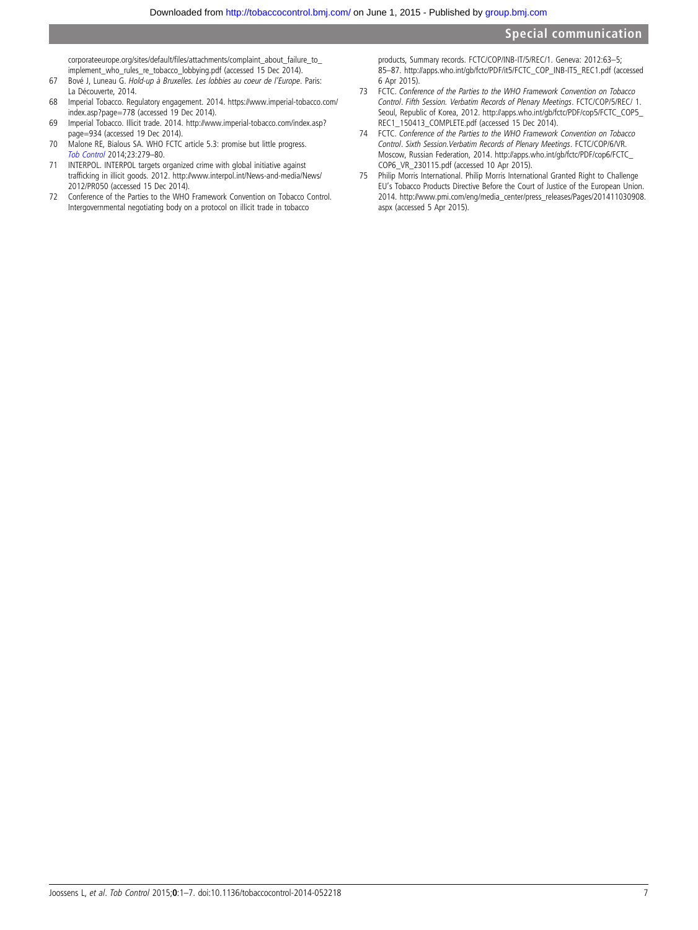<span id="page-6-0"></span>corporateeurope.org/sites/default/fi[les/attachments/complaint\\_about\\_failure\\_to\\_](http://corporateeurope.org/sites/default/files/attachments/complaint_about_failure_to_implement_who_rules_re_tobacco_lobbying.pdf) [implement\\_who\\_rules\\_re\\_tobacco\\_lobbying.pdf](http://corporateeurope.org/sites/default/files/attachments/complaint_about_failure_to_implement_who_rules_re_tobacco_lobbying.pdf) (accessed 15 Dec 2014).

- 67 Bové J, Luneau G. Hold-up à Bruxelles. Les lobbies au coeur de l'Europe. Paris: La Découverte, 2014.
- 68 Imperial Tobacco. Regulatory engagement. 2014. [https://www.imperial-tobacco.com/](https://www.imperial-tobacco.com/index.asp?page=778) [index.asp?page=778](https://www.imperial-tobacco.com/index.asp?page=778) (accessed 19 Dec 2014).
- 69 Imperial Tobacco. Illicit trade. 2014. [http://www.imperial-tobacco.com/index.asp?](http://www.imperial-tobacco.com/index.asp?page=934) [page=934](http://www.imperial-tobacco.com/index.asp?page=934) (accessed 19 Dec 2014).
- 70 Malone RE, Bialous SA. WHO FCTC article 5.3: promise but little progress. [Tob Control](http://dx.doi.org/10.1136/tobaccocontrol-2014-051817) 2014;23:279–80.
- 71 INTERPOL. INTERPOL targets organized crime with global initiative against trafficking in illicit goods. 2012. [http://www.interpol.int/News-and-media/News/](http://www.interpol.int/News-and-media/News/2012/PR050) [2012/PR050](http://www.interpol.int/News-and-media/News/2012/PR050) (accessed 15 Dec 2014).
- 72 Conference of the Parties to the WHO Framework Convention on Tobacco Control. Intergovernmental negotiating body on a protocol on illicit trade in tobacco

products, Summary records. FCTC/COP/INB-IT/5/REC/1. Geneva: 2012:63–5; 85–87. [http://apps.who.int/gb/fctc/PDF/it5/FCTC\\_COP\\_INB-IT5\\_REC1.pdf](http://apps.who.int/gb/fctc/PDF/it5/FCTC_COP_INB-IT5_REC1.pdf) (accessed 6 Apr 2015).

- 73 FCTC. Conference of the Parties to the WHO Framework Convention on Tobacco Control. Fifth Session. Verbatim Records of Plenary Meetings. FCTC/COP/5/REC/ 1. Seoul, Republic of Korea, 2012. [http://apps.who.int/gb/fctc/PDF/cop5/FCTC\\_COP5\\_](http://apps.who.int/gb/fctc/PDF/cop5/FCTC_COP5_REC1_150413_COMPLETE.pdf) [REC1\\_150413\\_COMPLETE.pdf](http://apps.who.int/gb/fctc/PDF/cop5/FCTC_COP5_REC1_150413_COMPLETE.pdf) (accessed 15 Dec 2014).
- 74 FCTC. Conference of the Parties to the WHO Framework Convention on Tobacco Control. Sixth Session.Verbatim Records of Plenary Meetings. FCTC/COP/6/VR. Moscow, Russian Federation, 2014. [http://apps.who.int/gb/fctc/PDF/cop6/FCTC\\_](http://apps.who.int/gb/fctc/PDF/cop6/FCTC_COP6_VR_230115.pdf) [COP6\\_VR\\_230115.pdf](http://apps.who.int/gb/fctc/PDF/cop6/FCTC_COP6_VR_230115.pdf) (accessed 10 Apr 2015).
- 75 Philip Morris International. Philip Morris International Granted Right to Challenge EU's Tobacco Products Directive Before the Court of Justice of the European Union. 2014. [http://www.pmi.com/eng/media\\_center/press\\_releases/Pages/201411030908.](http://www.pmi.com/eng/media_center/press_releases/Pages/201411030908.aspx) [aspx](http://www.pmi.com/eng/media_center/press_releases/Pages/201411030908.aspx) (accessed 5 Apr 2015).